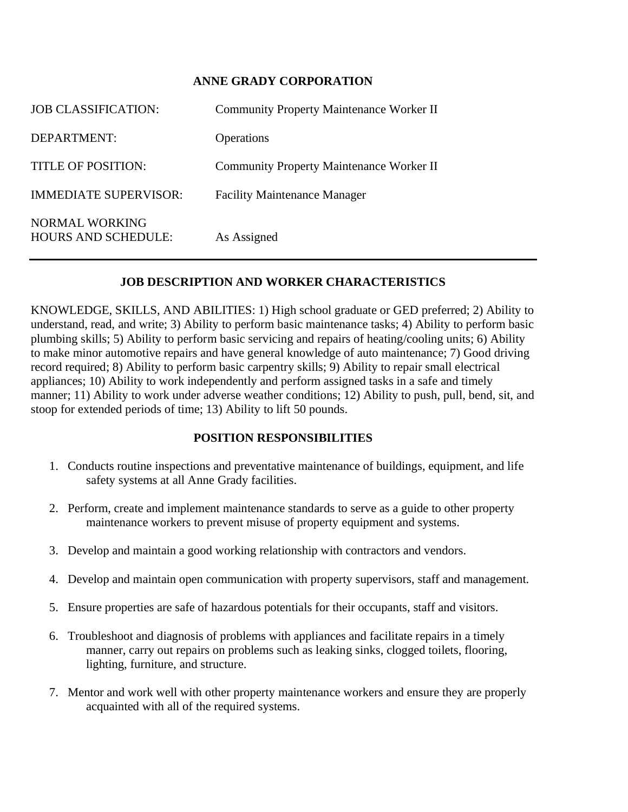## **ANNE GRADY CORPORATION**

| <b>JOB CLASSIFICATION:</b>                   | <b>Community Property Maintenance Worker II</b> |
|----------------------------------------------|-------------------------------------------------|
| DEPARTMENT:                                  | Operations                                      |
| TITLE OF POSITION:                           | <b>Community Property Maintenance Worker II</b> |
| <b>IMMEDIATE SUPERVISOR:</b>                 | <b>Facility Maintenance Manager</b>             |
| NORMAL WORKING<br><b>HOURS AND SCHEDULE:</b> | As Assigned                                     |

## **JOB DESCRIPTION AND WORKER CHARACTERISTICS**

KNOWLEDGE, SKILLS, AND ABILITIES: 1) High school graduate or GED preferred; 2) Ability to understand, read, and write; 3) Ability to perform basic maintenance tasks; 4) Ability to perform basic plumbing skills; 5) Ability to perform basic servicing and repairs of heating/cooling units; 6) Ability to make minor automotive repairs and have general knowledge of auto maintenance; 7) Good driving record required; 8) Ability to perform basic carpentry skills; 9) Ability to repair small electrical appliances; 10) Ability to work independently and perform assigned tasks in a safe and timely manner; 11) Ability to work under adverse weather conditions; 12) Ability to push, pull, bend, sit, and stoop for extended periods of time; 13) Ability to lift 50 pounds.

## **POSITION RESPONSIBILITIES**

- 1. Conducts routine inspections and preventative maintenance of buildings, equipment, and life safety systems at all Anne Grady facilities.
- 2. Perform, create and implement maintenance standards to serve as a guide to other property maintenance workers to prevent misuse of property equipment and systems.
- 3. Develop and maintain a good working relationship with contractors and vendors.
- 4. Develop and maintain open communication with property supervisors, staff and management.
- 5. Ensure properties are safe of hazardous potentials for their occupants, staff and visitors.
- 6. Troubleshoot and diagnosis of problems with appliances and facilitate repairs in a timely manner, carry out repairs on problems such as leaking sinks, clogged toilets, flooring, lighting, furniture, and structure.
- 7. Mentor and work well with other property maintenance workers and ensure they are properly acquainted with all of the required systems.